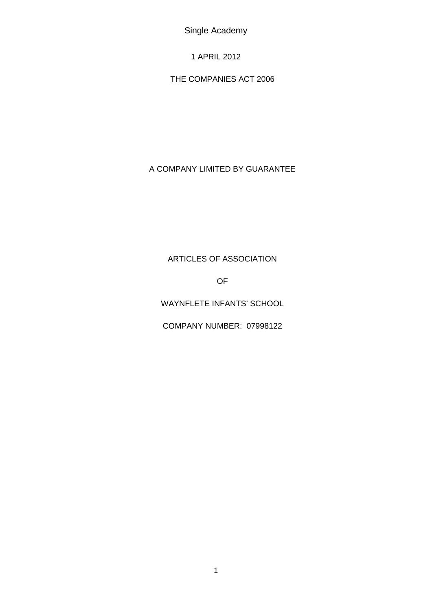Single Academy

1 APRIL 2012

THE COMPANIES ACT 2006

# A COMPANY LIMITED BY GUARANTEE

# ARTICLES OF ASSOCIATION

OF

WAYNFLETE INFANTS' SCHOOL

COMPANY NUMBER: 07998122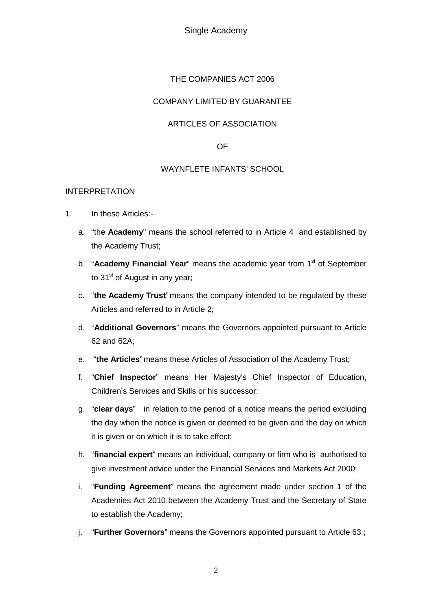Single Academy

### THE COMPANIES ACT 2006

# COMPANY LIMITED BY GUARANTEE

### ARTICLES OF ASSOCIATION

#### OF

#### WAYNFLETE INFANTS' SCHOOL

#### INTERPRETATION

- 1. In these Articles:
	- a. "th**e Academy**" means the school referred to in Article 4 and established by the Academy Trust;
	- b. "**Academy Financial Year**" means the academic year from 1<sup>st</sup> of September to 31<sup>st</sup> of August in any year;
	- c. "**the Academy Trust**" means the company intended to be regulated by these Articles and referred to in Article 2;
	- d. "**Additional Governors**" means the Governors appointed pursuant to Article 62 and 62A;
	- e. "**the Articles**" means these Articles of Association of the Academy Trust;
	- f. "**Chief Inspector**" means Her Majesty's Chief Inspector of Education, Children's Services and Skills or his successor:
	- g. "**clear days**" in relation to the period of a notice means the period excluding the day when the notice is given or deemed to be given and the day on which it is given or on which it is to take effect;
	- h. "**financial expert**" means an individual, company or firm who is authorised to give investment advice under the Financial Services and Markets Act 2000;
	- i. "**Funding Agreement**" means the agreement made under section 1 of the Academies Act 2010 between the Academy Trust and the Secretary of State to establish the Academy;
	- j. "**Further Governors**" means the Governors appointed pursuant to Article 63 ;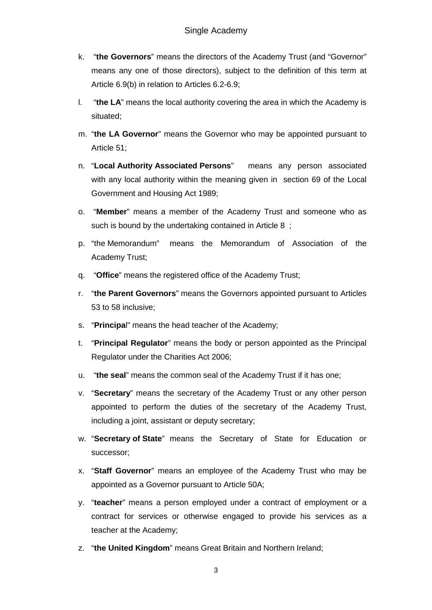- k. "**the Governors**" means the directors of the Academy Trust (and "Governor" means any one of those directors), subject to the definition of this term at Article 6.9(b) in relation to Articles 6.2-6.9;
- l. "**the LA**" means the local authority covering the area in which the Academy is situated;
- m. "**the LA Governor**" means the Governor who may be appointed pursuant to Article 51;
- n. "**Local Authority Associated Persons**" means any person associated with any local authority within the meaning given in section 69 of the Local Government and Housing Act 1989;
- o. "**Member**" means a member of the Academy Trust and someone who as such is bound by the undertaking contained in Article 8 ;
- p. "the Memorandum" means the Memorandum of Association of the Academy Trust;
- q. "**Office**" means the registered office of the Academy Trust;
- r. "**the Parent Governors**" means the Governors appointed pursuant to Articles 53 to 58 inclusive;
- s. "**Principa**l" means the head teacher of the Academy;
- t. "**Principal Regulator**" means the body or person appointed as the Principal Regulator under the Charities Act 2006;
- u. "**the seal**" means the common seal of the Academy Trust if it has one;
- v. "**Secretary**" means the secretary of the Academy Trust or any other person appointed to perform the duties of the secretary of the Academy Trust, including a joint, assistant or deputy secretary;
- w. "**Secretary of State**" means the Secretary of State for Education or successor;
- x. "**Staff Governor**" means an employee of the Academy Trust who may be appointed as a Governor pursuant to Article 50A;
- y. "**teacher**" means a person employed under a contract of employment or a contract for services or otherwise engaged to provide his services as a teacher at the Academy;
- z. "**the United Kingdom**" means Great Britain and Northern Ireland;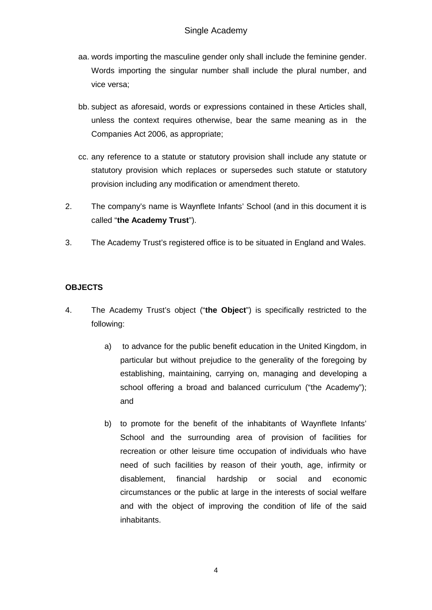- aa. words importing the masculine gender only shall include the feminine gender. Words importing the singular number shall include the plural number, and vice versa;
- bb. subject as aforesaid, words or expressions contained in these Articles shall, unless the context requires otherwise, bear the same meaning as in the Companies Act 2006, as appropriate;
- cc. any reference to a statute or statutory provision shall include any statute or statutory provision which replaces or supersedes such statute or statutory provision including any modification or amendment thereto.
- 2. The company's name is Waynflete Infants' School (and in this document it is called "**the Academy Trust**").
- 3. The Academy Trust's registered office is to be situated in England and Wales.

# **OBJECTS**

- 4. The Academy Trust's object ("**the Object**") is specifically restricted to the following:
	- a) to advance for the public benefit education in the United Kingdom, in particular but without prejudice to the generality of the foregoing by establishing, maintaining, carrying on, managing and developing a school offering a broad and balanced curriculum ("the Academy"); and
	- b) to promote for the benefit of the inhabitants of Waynflete Infants' School and the surrounding area of provision of facilities for recreation or other leisure time occupation of individuals who have need of such facilities by reason of their youth, age, infirmity or disablement, financial hardship or social and economic circumstances or the public at large in the interests of social welfare and with the object of improving the condition of life of the said inhabitants.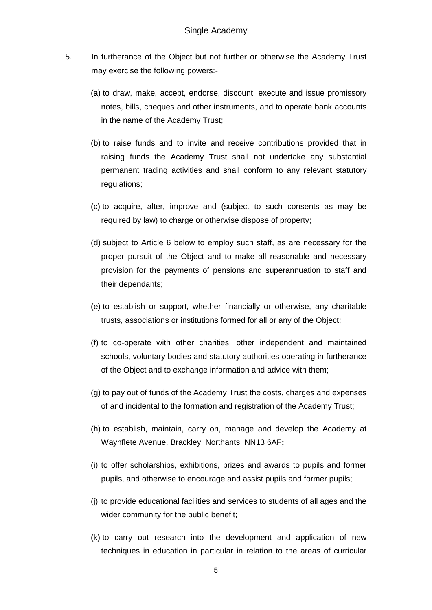- 5. In furtherance of the Object but not further or otherwise the Academy Trust may exercise the following powers:-
	- (a) to draw, make, accept, endorse, discount, execute and issue promissory notes, bills, cheques and other instruments, and to operate bank accounts in the name of the Academy Trust;
	- (b) to raise funds and to invite and receive contributions provided that in raising funds the Academy Trust shall not undertake any substantial permanent trading activities and shall conform to any relevant statutory regulations;
	- (c) to acquire, alter, improve and (subject to such consents as may be required by law) to charge or otherwise dispose of property;
	- (d) subject to Article 6 below to employ such staff, as are necessary for the proper pursuit of the Object and to make all reasonable and necessary provision for the payments of pensions and superannuation to staff and their dependants;
	- (e) to establish or support, whether financially or otherwise, any charitable trusts, associations or institutions formed for all or any of the Object;
	- (f) to co-operate with other charities, other independent and maintained schools, voluntary bodies and statutory authorities operating in furtherance of the Object and to exchange information and advice with them;
	- (g) to pay out of funds of the Academy Trust the costs, charges and expenses of and incidental to the formation and registration of the Academy Trust;
	- (h) to establish, maintain, carry on, manage and develop the Academy at Waynflete Avenue, Brackley, Northants, NN13 6AF**;**
	- (i) to offer scholarships, exhibitions, prizes and awards to pupils and former pupils, and otherwise to encourage and assist pupils and former pupils;
	- (j) to provide educational facilities and services to students of all ages and the wider community for the public benefit;
	- (k) to carry out research into the development and application of new techniques in education in particular in relation to the areas of curricular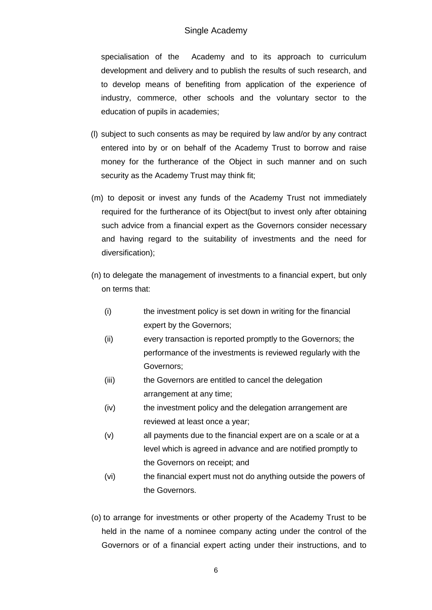### Single Academy

specialisation of the Academy and to its approach to curriculum development and delivery and to publish the results of such research, and to develop means of benefiting from application of the experience of industry, commerce, other schools and the voluntary sector to the education of pupils in academies;

- (l) subject to such consents as may be required by law and/or by any contract entered into by or on behalf of the Academy Trust to borrow and raise money for the furtherance of the Object in such manner and on such security as the Academy Trust may think fit;
- (m) to deposit or invest any funds of the Academy Trust not immediately required for the furtherance of its Object(but to invest only after obtaining such advice from a financial expert as the Governors consider necessary and having regard to the suitability of investments and the need for diversification);
- (n) to delegate the management of investments to a financial expert, but only on terms that:
	- (i) the investment policy is set down in writing for the financial expert by the Governors;
	- (ii) every transaction is reported promptly to the Governors; the performance of the investments is reviewed regularly with the Governors;
	- (iii) the Governors are entitled to cancel the delegation arrangement at any time;
	- (iv) the investment policy and the delegation arrangement are reviewed at least once a year;
	- (v) all payments due to the financial expert are on a scale or at a level which is agreed in advance and are notified promptly to the Governors on receipt; and
	- (vi) the financial expert must not do anything outside the powers of the Governors.
- (o) to arrange for investments or other property of the Academy Trust to be held in the name of a nominee company acting under the control of the Governors or of a financial expert acting under their instructions, and to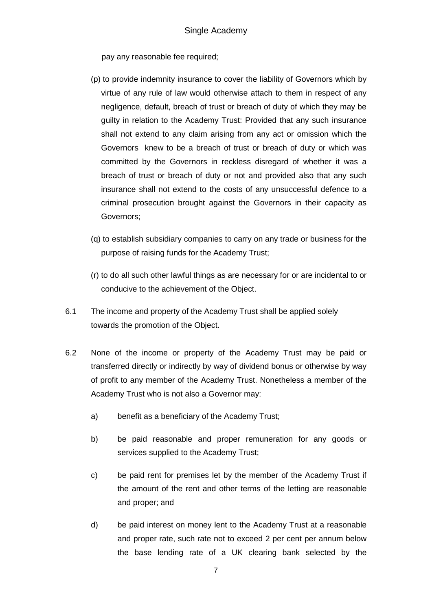pay any reasonable fee required;

- (p) to provide indemnity insurance to cover the liability of Governors which by virtue of any rule of law would otherwise attach to them in respect of any negligence, default, breach of trust or breach of duty of which they may be guilty in relation to the Academy Trust: Provided that any such insurance shall not extend to any claim arising from any act or omission which the Governors knew to be a breach of trust or breach of duty or which was committed by the Governors in reckless disregard of whether it was a breach of trust or breach of duty or not and provided also that any such insurance shall not extend to the costs of any unsuccessful defence to a criminal prosecution brought against the Governors in their capacity as Governors;
- (q) to establish subsidiary companies to carry on any trade or business for the purpose of raising funds for the Academy Trust;
- (r) to do all such other lawful things as are necessary for or are incidental to or conducive to the achievement of the Object.
- 6.1 The income and property of the Academy Trust shall be applied solely towards the promotion of the Object.
- 6.2 None of the income or property of the Academy Trust may be paid or transferred directly or indirectly by way of dividend bonus or otherwise by way of profit to any member of the Academy Trust. Nonetheless a member of the Academy Trust who is not also a Governor may:
	- a) benefit as a beneficiary of the Academy Trust;
	- b) be paid reasonable and proper remuneration for any goods or services supplied to the Academy Trust;
	- c) be paid rent for premises let by the member of the Academy Trust if the amount of the rent and other terms of the letting are reasonable and proper; and
	- d) be paid interest on money lent to the Academy Trust at a reasonable and proper rate, such rate not to exceed 2 per cent per annum below the base lending rate of a UK clearing bank selected by the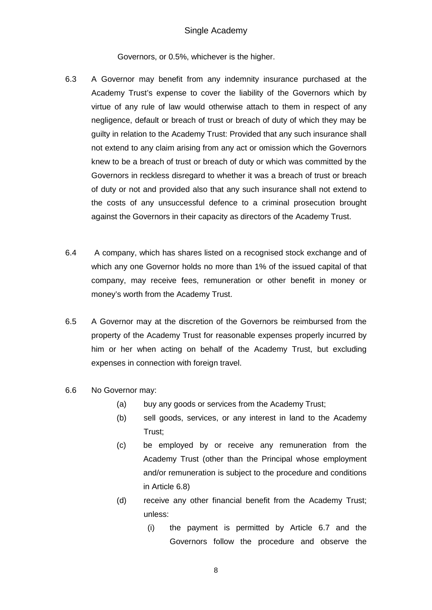#### Single Academy

Governors, or 0.5%, whichever is the higher.

- 6.3 A Governor may benefit from any indemnity insurance purchased at the Academy Trust's expense to cover the liability of the Governors which by virtue of any rule of law would otherwise attach to them in respect of any negligence, default or breach of trust or breach of duty of which they may be guilty in relation to the Academy Trust: Provided that any such insurance shall not extend to any claim arising from any act or omission which the Governors knew to be a breach of trust or breach of duty or which was committed by the Governors in reckless disregard to whether it was a breach of trust or breach of duty or not and provided also that any such insurance shall not extend to the costs of any unsuccessful defence to a criminal prosecution brought against the Governors in their capacity as directors of the Academy Trust.
- 6.4 A company, which has shares listed on a recognised stock exchange and of which any one Governor holds no more than 1% of the issued capital of that company, may receive fees, remuneration or other benefit in money or money's worth from the Academy Trust.
- 6.5 A Governor may at the discretion of the Governors be reimbursed from the property of the Academy Trust for reasonable expenses properly incurred by him or her when acting on behalf of the Academy Trust, but excluding expenses in connection with foreign travel.
- 6.6 No Governor may:
	- (a) buy any goods or services from the Academy Trust;
	- (b) sell goods, services, or any interest in land to the Academy Trust;
	- (c) be employed by or receive any remuneration from the Academy Trust (other than the Principal whose employment and/or remuneration is subject to the procedure and conditions in Article 6.8)
	- (d) receive any other financial benefit from the Academy Trust; unless:
		- (i) the payment is permitted by Article 6.7 and the Governors follow the procedure and observe the

8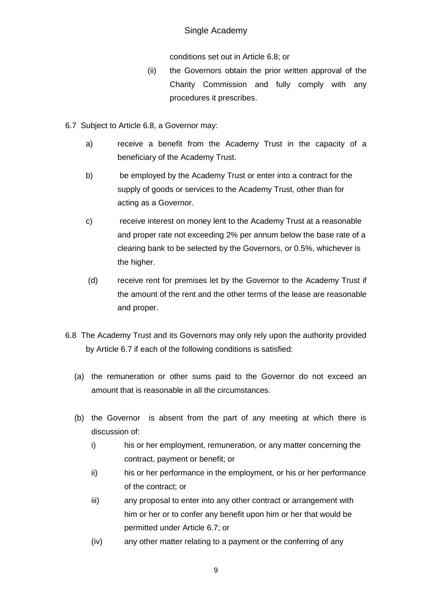# Single Academy

conditions set out in Article 6.8; or

- (ii) the Governors obtain the prior written approval of the Charity Commission and fully comply with any procedures it prescribes.
- 6.7 Subject to Article 6.8, a Governor may:
	- a) receive a benefit from the Academy Trust in the capacity of a beneficiary of the Academy Trust.
	- b) be employed by the Academy Trust or enter into a contract for the supply of goods or services to the Academy Trust, other than for acting as a Governor.
	- c) receive interest on money lent to the Academy Trust at a reasonable and proper rate not exceeding 2% per annum below the base rate of a clearing bank to be selected by the Governors, or 0.5%, whichever is the higher.
	- (d) receive rent for premises let by the Governor to the Academy Trust if the amount of the rent and the other terms of the lease are reasonable and proper.
- 6.8 The Academy Trust and its Governors may only rely upon the authority provided by Article 6.7 if each of the following conditions is satisfied:
	- (a) the remuneration or other sums paid to the Governor do not exceed an amount that is reasonable in all the circumstances.
	- (b) the Governor is absent from the part of any meeting at which there is discussion of:
		- i) his or her employment, remuneration, or any matter concerning the contract, payment or benefit; or
		- ii) his or her performance in the employment, or his or her performance of the contract; or
		- iii) any proposal to enter into any other contract or arrangement with him or her or to confer any benefit upon him or her that would be permitted under Article 6.7; or
		- (iv) any other matter relating to a payment or the conferring of any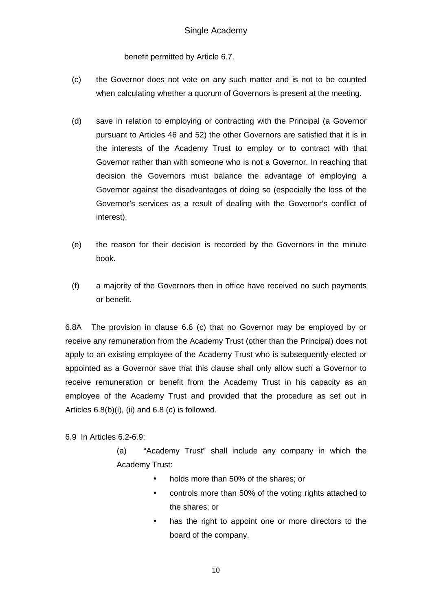benefit permitted by Article 6.7.

- (c) the Governor does not vote on any such matter and is not to be counted when calculating whether a quorum of Governors is present at the meeting.
- (d) save in relation to employing or contracting with the Principal (a Governor pursuant to Articles 46 and 52) the other Governors are satisfied that it is in the interests of the Academy Trust to employ or to contract with that Governor rather than with someone who is not a Governor. In reaching that decision the Governors must balance the advantage of employing a Governor against the disadvantages of doing so (especially the loss of the Governor's services as a result of dealing with the Governor's conflict of interest).
- (e) the reason for their decision is recorded by the Governors in the minute book.
- (f) a majority of the Governors then in office have received no such payments or benefit.

6.8A The provision in clause 6.6 (c) that no Governor may be employed by or receive any remuneration from the Academy Trust (other than the Principal) does not apply to an existing employee of the Academy Trust who is subsequently elected or appointed as a Governor save that this clause shall only allow such a Governor to receive remuneration or benefit from the Academy Trust in his capacity as an employee of the Academy Trust and provided that the procedure as set out in Articles 6.8(b)(i), (ii) and 6.8 (c) is followed.

6.9 In Articles 6.2-6.9:

(a) "Academy Trust" shall include any company in which the Academy Trust:

- holds more than 50% of the shares; or
- controls more than 50% of the voting rights attached to the shares; or
- has the right to appoint one or more directors to the board of the company.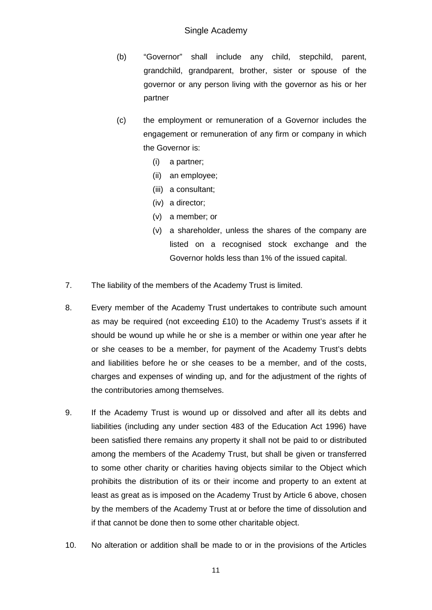- (b) "Governor" shall include any child, stepchild, parent, grandchild, grandparent, brother, sister or spouse of the governor or any person living with the governor as his or her partner
- (c) the employment or remuneration of a Governor includes the engagement or remuneration of any firm or company in which the Governor is:
	- (i) a partner;
	- (ii) an employee;
	- (iii) a consultant;
	- (iv) a director;
	- (v) a member; or
	- (v) a shareholder, unless the shares of the company are listed on a recognised stock exchange and the Governor holds less than 1% of the issued capital.
- 7. The liability of the members of the Academy Trust is limited.
- 8. Every member of the Academy Trust undertakes to contribute such amount as may be required (not exceeding £10) to the Academy Trust's assets if it should be wound up while he or she is a member or within one year after he or she ceases to be a member, for payment of the Academy Trust's debts and liabilities before he or she ceases to be a member, and of the costs, charges and expenses of winding up, and for the adjustment of the rights of the contributories among themselves.
- 9. If the Academy Trust is wound up or dissolved and after all its debts and liabilities (including any under section 483 of the Education Act 1996) have been satisfied there remains any property it shall not be paid to or distributed among the members of the Academy Trust, but shall be given or transferred to some other charity or charities having objects similar to the Object which prohibits the distribution of its or their income and property to an extent at least as great as is imposed on the Academy Trust by Article 6 above, chosen by the members of the Academy Trust at or before the time of dissolution and if that cannot be done then to some other charitable object.
- 10. No alteration or addition shall be made to or in the provisions of the Articles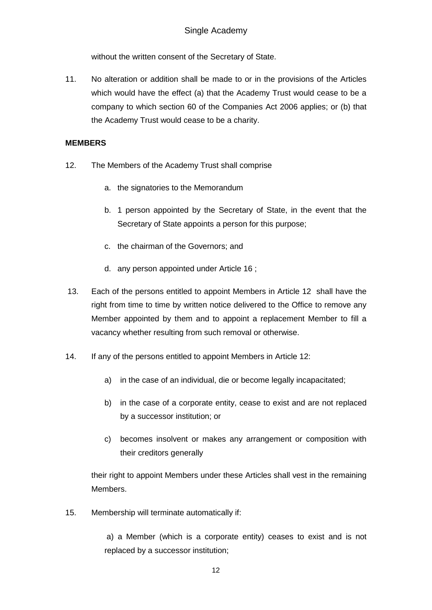without the written consent of the Secretary of State.

11. No alteration or addition shall be made to or in the provisions of the Articles which would have the effect (a) that the Academy Trust would cease to be a company to which section 60 of the Companies Act 2006 applies; or (b) that the Academy Trust would cease to be a charity.

### **MEMBERS**

- 12. The Members of the Academy Trust shall comprise
	- a. the signatories to the Memorandum
	- b. 1 person appointed by the Secretary of State, in the event that the Secretary of State appoints a person for this purpose;
	- c. the chairman of the Governors; and
	- d. any person appointed under Article 16 ;
- 13. Each of the persons entitled to appoint Members in Article 12 shall have the right from time to time by written notice delivered to the Office to remove any Member appointed by them and to appoint a replacement Member to fill a vacancy whether resulting from such removal or otherwise.
- 14. If any of the persons entitled to appoint Members in Article 12:
	- a) in the case of an individual, die or become legally incapacitated;
	- b) in the case of a corporate entity, cease to exist and are not replaced by a successor institution; or
	- c) becomes insolvent or makes any arrangement or composition with their creditors generally

their right to appoint Members under these Articles shall vest in the remaining Members.

15. Membership will terminate automatically if:

 a) a Member (which is a corporate entity) ceases to exist and is not replaced by a successor institution;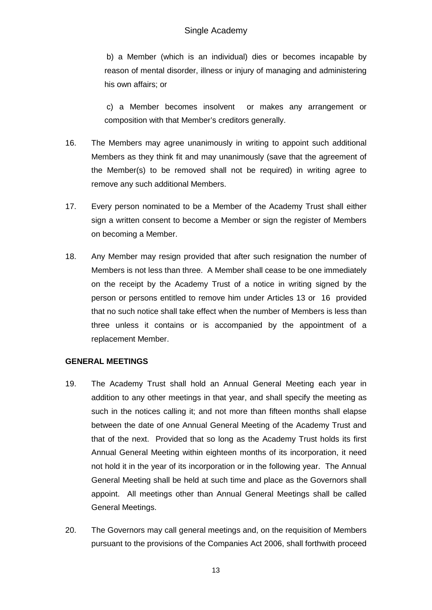b) a Member (which is an individual) dies or becomes incapable by reason of mental disorder, illness or injury of managing and administering his own affairs; or

 c) a Member becomes insolvent or makes any arrangement or composition with that Member's creditors generally.

- 16. The Members may agree unanimously in writing to appoint such additional Members as they think fit and may unanimously (save that the agreement of the Member(s) to be removed shall not be required) in writing agree to remove any such additional Members.
- 17. Every person nominated to be a Member of the Academy Trust shall either sign a written consent to become a Member or sign the register of Members on becoming a Member.
- 18. Any Member may resign provided that after such resignation the number of Members is not less than three. A Member shall cease to be one immediately on the receipt by the Academy Trust of a notice in writing signed by the person or persons entitled to remove him under Articles 13 or 16 provided that no such notice shall take effect when the number of Members is less than three unless it contains or is accompanied by the appointment of a replacement Member.

### **GENERAL MEETINGS**

- 19. The Academy Trust shall hold an Annual General Meeting each year in addition to any other meetings in that year, and shall specify the meeting as such in the notices calling it; and not more than fifteen months shall elapse between the date of one Annual General Meeting of the Academy Trust and that of the next. Provided that so long as the Academy Trust holds its first Annual General Meeting within eighteen months of its incorporation, it need not hold it in the year of its incorporation or in the following year. The Annual General Meeting shall be held at such time and place as the Governors shall appoint. All meetings other than Annual General Meetings shall be called General Meetings.
- 20. The Governors may call general meetings and, on the requisition of Members pursuant to the provisions of the Companies Act 2006, shall forthwith proceed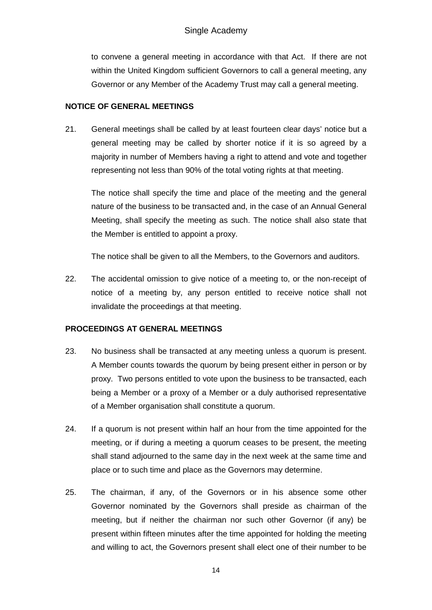to convene a general meeting in accordance with that Act. If there are not within the United Kingdom sufficient Governors to call a general meeting, any Governor or any Member of the Academy Trust may call a general meeting.

### **NOTICE OF GENERAL MEETINGS**

21. General meetings shall be called by at least fourteen clear days' notice but a general meeting may be called by shorter notice if it is so agreed by a majority in number of Members having a right to attend and vote and together representing not less than 90% of the total voting rights at that meeting.

The notice shall specify the time and place of the meeting and the general nature of the business to be transacted and, in the case of an Annual General Meeting, shall specify the meeting as such. The notice shall also state that the Member is entitled to appoint a proxy.

The notice shall be given to all the Members, to the Governors and auditors.

22. The accidental omission to give notice of a meeting to, or the non-receipt of notice of a meeting by, any person entitled to receive notice shall not invalidate the proceedings at that meeting.

# **PROCEEDINGS AT GENERAL MEETINGS**

- 23. No business shall be transacted at any meeting unless a quorum is present. A Member counts towards the quorum by being present either in person or by proxy. Two persons entitled to vote upon the business to be transacted, each being a Member or a proxy of a Member or a duly authorised representative of a Member organisation shall constitute a quorum.
- 24. If a quorum is not present within half an hour from the time appointed for the meeting, or if during a meeting a quorum ceases to be present, the meeting shall stand adjourned to the same day in the next week at the same time and place or to such time and place as the Governors may determine.
- 25. The chairman, if any, of the Governors or in his absence some other Governor nominated by the Governors shall preside as chairman of the meeting, but if neither the chairman nor such other Governor (if any) be present within fifteen minutes after the time appointed for holding the meeting and willing to act, the Governors present shall elect one of their number to be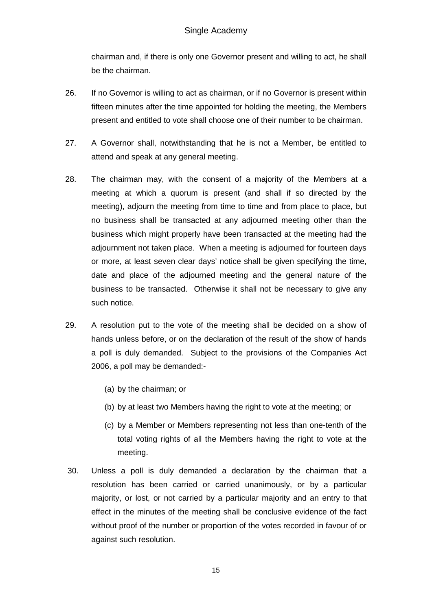chairman and, if there is only one Governor present and willing to act, he shall be the chairman.

- 26. If no Governor is willing to act as chairman, or if no Governor is present within fifteen minutes after the time appointed for holding the meeting, the Members present and entitled to vote shall choose one of their number to be chairman.
- 27. A Governor shall, notwithstanding that he is not a Member, be entitled to attend and speak at any general meeting.
- 28. The chairman may, with the consent of a majority of the Members at a meeting at which a quorum is present (and shall if so directed by the meeting), adjourn the meeting from time to time and from place to place, but no business shall be transacted at any adjourned meeting other than the business which might properly have been transacted at the meeting had the adjournment not taken place. When a meeting is adjourned for fourteen days or more, at least seven clear days' notice shall be given specifying the time, date and place of the adjourned meeting and the general nature of the business to be transacted. Otherwise it shall not be necessary to give any such notice.
- 29. A resolution put to the vote of the meeting shall be decided on a show of hands unless before, or on the declaration of the result of the show of hands a poll is duly demanded. Subject to the provisions of the Companies Act 2006, a poll may be demanded:-
	- (a) by the chairman; or
	- (b) by at least two Members having the right to vote at the meeting; or
	- (c) by a Member or Members representing not less than one-tenth of the total voting rights of all the Members having the right to vote at the meeting.
- 30. Unless a poll is duly demanded a declaration by the chairman that a resolution has been carried or carried unanimously, or by a particular majority, or lost, or not carried by a particular majority and an entry to that effect in the minutes of the meeting shall be conclusive evidence of the fact without proof of the number or proportion of the votes recorded in favour of or against such resolution.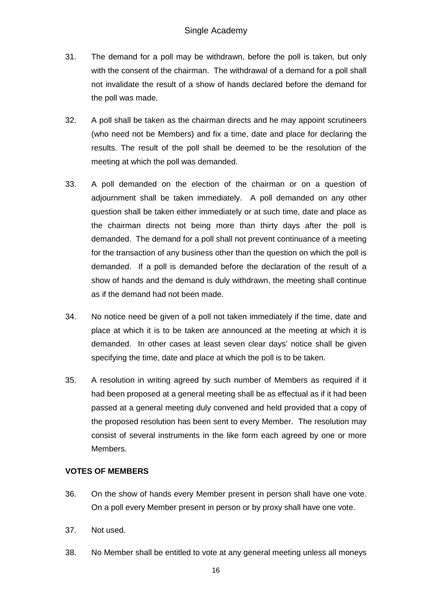- 31. The demand for a poll may be withdrawn, before the poll is taken, but only with the consent of the chairman. The withdrawal of a demand for a poll shall not invalidate the result of a show of hands declared before the demand for the poll was made.
- 32. A poll shall be taken as the chairman directs and he may appoint scrutineers (who need not be Members) and fix a time, date and place for declaring the results. The result of the poll shall be deemed to be the resolution of the meeting at which the poll was demanded.
- 33. A poll demanded on the election of the chairman or on a question of adjournment shall be taken immediately. A poll demanded on any other question shall be taken either immediately or at such time, date and place as the chairman directs not being more than thirty days after the poll is demanded. The demand for a poll shall not prevent continuance of a meeting for the transaction of any business other than the question on which the poll is demanded. If a poll is demanded before the declaration of the result of a show of hands and the demand is duly withdrawn, the meeting shall continue as if the demand had not been made.
- 34. No notice need be given of a poll not taken immediately if the time, date and place at which it is to be taken are announced at the meeting at which it is demanded. In other cases at least seven clear days' notice shall be given specifying the time, date and place at which the poll is to be taken.
- 35. A resolution in writing agreed by such number of Members as required if it had been proposed at a general meeting shall be as effectual as if it had been passed at a general meeting duly convened and held provided that a copy of the proposed resolution has been sent to every Member. The resolution may consist of several instruments in the like form each agreed by one or more Members.

# **VOTES OF MEMBERS**

- 36. On the show of hands every Member present in person shall have one vote. On a poll every Member present in person or by proxy shall have one vote.
- 37. Not used.
- 38. No Member shall be entitled to vote at any general meeting unless all moneys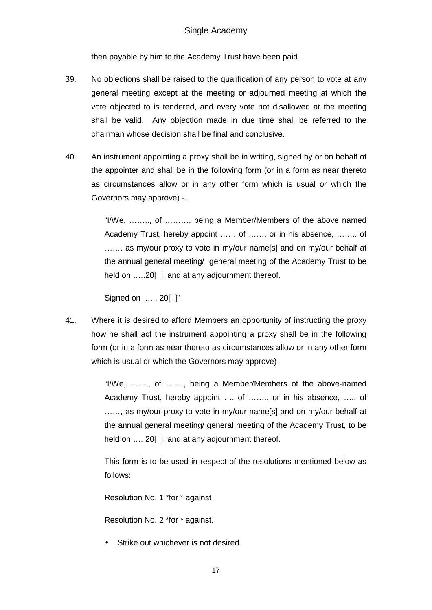then payable by him to the Academy Trust have been paid.

- 39. No objections shall be raised to the qualification of any person to vote at any general meeting except at the meeting or adjourned meeting at which the vote objected to is tendered, and every vote not disallowed at the meeting shall be valid. Any objection made in due time shall be referred to the chairman whose decision shall be final and conclusive.
- 40. An instrument appointing a proxy shall be in writing, signed by or on behalf of the appointer and shall be in the following form (or in a form as near thereto as circumstances allow or in any other form which is usual or which the Governors may approve) -.

"I/We, …….., of ………, being a Member/Members of the above named Academy Trust, hereby appoint …… of ……, or in his absence, …….. of ....... as my/our proxy to vote in my/our name[s] and on my/our behalf at the annual general meeting/ general meeting of the Academy Trust to be held on .....20[], and at any adjournment thereof.

Signed on ….. 20[ ]"

41. Where it is desired to afford Members an opportunity of instructing the proxy how he shall act the instrument appointing a proxy shall be in the following form (or in a form as near thereto as circumstances allow or in any other form which is usual or which the Governors may approve)-

> "I/We, ……., of ……., being a Member/Members of the above-named Academy Trust, hereby appoint …. of ……., or in his absence, ….. of ......, as my/our proxy to vote in my/our name[s] and on my/our behalf at the annual general meeting/ general meeting of the Academy Trust, to be held on .... 20 [], and at any adjournment thereof.

> This form is to be used in respect of the resolutions mentioned below as follows:

Resolution No. 1 \*for \* against

Resolution No. 2 \*for \* against.

Strike out whichever is not desired.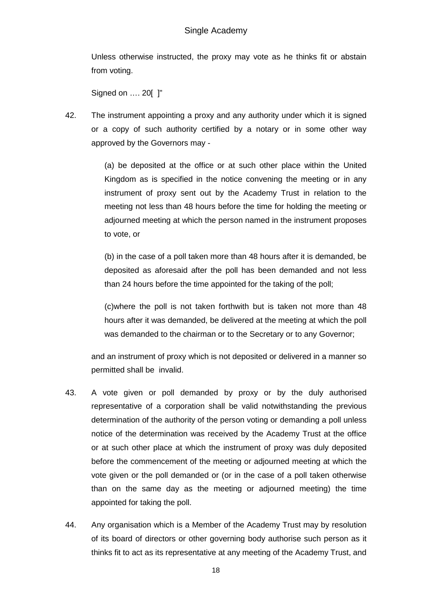Unless otherwise instructed, the proxy may vote as he thinks fit or abstain from voting.

Signed on …. 20[ ]"

42. The instrument appointing a proxy and any authority under which it is signed or a copy of such authority certified by a notary or in some other way approved by the Governors may -

> (a) be deposited at the office or at such other place within the United Kingdom as is specified in the notice convening the meeting or in any instrument of proxy sent out by the Academy Trust in relation to the meeting not less than 48 hours before the time for holding the meeting or adjourned meeting at which the person named in the instrument proposes to vote, or

> (b) in the case of a poll taken more than 48 hours after it is demanded, be deposited as aforesaid after the poll has been demanded and not less than 24 hours before the time appointed for the taking of the poll;

> (c)where the poll is not taken forthwith but is taken not more than 48 hours after it was demanded, be delivered at the meeting at which the poll was demanded to the chairman or to the Secretary or to any Governor;

and an instrument of proxy which is not deposited or delivered in a manner so permitted shall be invalid.

- 43. A vote given or poll demanded by proxy or by the duly authorised representative of a corporation shall be valid notwithstanding the previous determination of the authority of the person voting or demanding a poll unless notice of the determination was received by the Academy Trust at the office or at such other place at which the instrument of proxy was duly deposited before the commencement of the meeting or adjourned meeting at which the vote given or the poll demanded or (or in the case of a poll taken otherwise than on the same day as the meeting or adjourned meeting) the time appointed for taking the poll.
- 44. Any organisation which is a Member of the Academy Trust may by resolution of its board of directors or other governing body authorise such person as it thinks fit to act as its representative at any meeting of the Academy Trust, and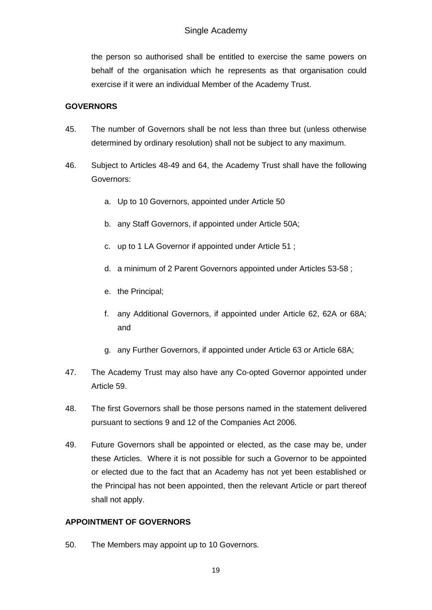the person so authorised shall be entitled to exercise the same powers on behalf of the organisation which he represents as that organisation could exercise if it were an individual Member of the Academy Trust.

# **GOVERNORS**

- 45. The number of Governors shall be not less than three but (unless otherwise determined by ordinary resolution) shall not be subject to any maximum.
- 46. Subject to Articles 48-49 and 64, the Academy Trust shall have the following Governors:
	- a. Up to 10 Governors, appointed under Article 50
	- b. any Staff Governors, if appointed under Article 50A;
	- c. up to 1 LA Governor if appointed under Article 51 ;
	- d. a minimum of 2 Parent Governors appointed under Articles 53-58 ;
	- e. the Principal;
	- f. any Additional Governors, if appointed under Article 62, 62A or 68A; and
	- g. any Further Governors, if appointed under Article 63 or Article 68A;
- 47. The Academy Trust may also have any Co-opted Governor appointed under Article 59.
- 48. The first Governors shall be those persons named in the statement delivered pursuant to sections 9 and 12 of the Companies Act 2006.
- 49. Future Governors shall be appointed or elected, as the case may be, under these Articles. Where it is not possible for such a Governor to be appointed or elected due to the fact that an Academy has not yet been established or the Principal has not been appointed, then the relevant Article or part thereof shall not apply.

# **APPOINTMENT OF GOVERNORS**

50. The Members may appoint up to 10 Governors.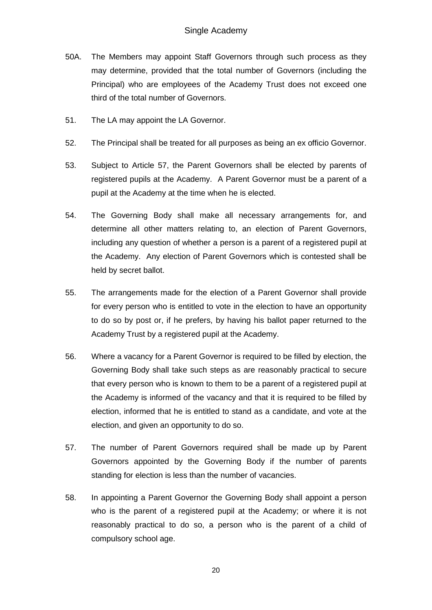- 50A. The Members may appoint Staff Governors through such process as they may determine, provided that the total number of Governors (including the Principal) who are employees of the Academy Trust does not exceed one third of the total number of Governors.
- 51. The LA may appoint the LA Governor.
- 52. The Principal shall be treated for all purposes as being an ex officio Governor.
- 53. Subject to Article 57, the Parent Governors shall be elected by parents of registered pupils at the Academy. A Parent Governor must be a parent of a pupil at the Academy at the time when he is elected.
- 54. The Governing Body shall make all necessary arrangements for, and determine all other matters relating to, an election of Parent Governors, including any question of whether a person is a parent of a registered pupil at the Academy. Any election of Parent Governors which is contested shall be held by secret ballot.
- 55. The arrangements made for the election of a Parent Governor shall provide for every person who is entitled to vote in the election to have an opportunity to do so by post or, if he prefers, by having his ballot paper returned to the Academy Trust by a registered pupil at the Academy.
- 56. Where a vacancy for a Parent Governor is required to be filled by election, the Governing Body shall take such steps as are reasonably practical to secure that every person who is known to them to be a parent of a registered pupil at the Academy is informed of the vacancy and that it is required to be filled by election, informed that he is entitled to stand as a candidate, and vote at the election, and given an opportunity to do so.
- 57. The number of Parent Governors required shall be made up by Parent Governors appointed by the Governing Body if the number of parents standing for election is less than the number of vacancies.
- 58. In appointing a Parent Governor the Governing Body shall appoint a person who is the parent of a registered pupil at the Academy; or where it is not reasonably practical to do so, a person who is the parent of a child of compulsory school age.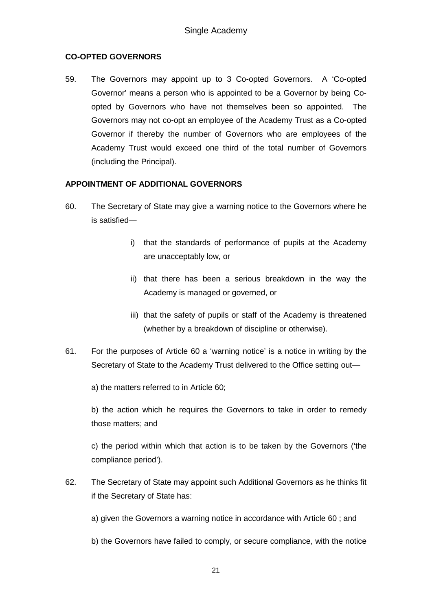# **CO-OPTED GOVERNORS**

59. The Governors may appoint up to 3 Co-opted Governors. A 'Co-opted Governor' means a person who is appointed to be a Governor by being Co opted by Governors who have not themselves been so appointed. The Governors may not co-opt an employee of the Academy Trust as a Co-opted Governor if thereby the number of Governors who are employees of the Academy Trust would exceed one third of the total number of Governors (including the Principal).

### **APPOINTMENT OF ADDITIONAL GOVERNORS**

- 60. The Secretary of State may give a warning notice to the Governors where he is satisfied
	- i) that the standards of performance of pupils at the Academy are unacceptably low, or
	- ii) that there has been a serious breakdown in the way the Academy is managed or governed, or
	- iii) that the safety of pupils or staff of the Academy is threatened (whether by a breakdown of discipline or otherwise).
- 61. For the purposes of Article 60 a 'warning notice' is a notice in writing by the Secretary of State to the Academy Trust delivered to the Office setting out—

a) the matters referred to in Article 60;

b) the action which he requires the Governors to take in order to remedy those matters; and

c) the period within which that action is to be taken by the Governors ('the compliance period').

62. The Secretary of State may appoint such Additional Governors as he thinks fit if the Secretary of State has:

a) given the Governors a warning notice in accordance with Article 60 ; and

b) the Governors have failed to comply, or secure compliance, with the notice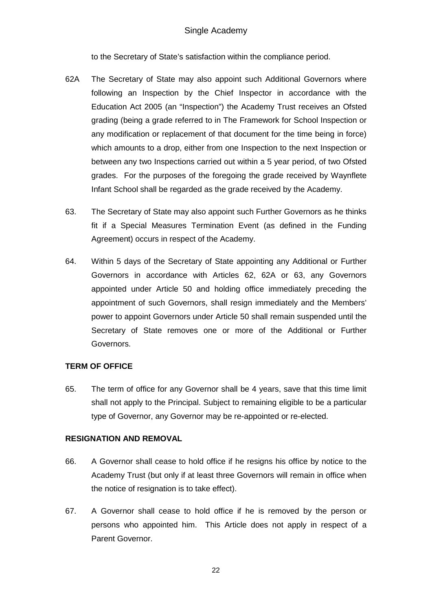to the Secretary of State's satisfaction within the compliance period.

- 62A The Secretary of State may also appoint such Additional Governors where following an Inspection by the Chief Inspector in accordance with the Education Act 2005 (an "Inspection") the Academy Trust receives an Ofsted grading (being a grade referred to in The Framework for School Inspection or any modification or replacement of that document for the time being in force) which amounts to a drop, either from one Inspection to the next Inspection or between any two Inspections carried out within a 5 year period, of two Ofsted grades. For the purposes of the foregoing the grade received by Waynflete Infant School shall be regarded as the grade received by the Academy.
- 63. The Secretary of State may also appoint such Further Governors as he thinks fit if a Special Measures Termination Event (as defined in the Funding Agreement) occurs in respect of the Academy.
- 64. Within 5 days of the Secretary of State appointing any Additional or Further Governors in accordance with Articles 62, 62A or 63, any Governors appointed under Article 50 and holding office immediately preceding the appointment of such Governors, shall resign immediately and the Members' power to appoint Governors under Article 50 shall remain suspended until the Secretary of State removes one or more of the Additional or Further Governors.

### **TERM OF OFFICE**

65. The term of office for any Governor shall be 4 years, save that this time limit shall not apply to the Principal. Subject to remaining eligible to be a particular type of Governor, any Governor may be re-appointed or re-elected.

### **RESIGNATION AND REMOVAL**

- 66. A Governor shall cease to hold office if he resigns his office by notice to the Academy Trust (but only if at least three Governors will remain in office when the notice of resignation is to take effect).
- 67. A Governor shall cease to hold office if he is removed by the person or persons who appointed him. This Article does not apply in respect of a Parent Governor.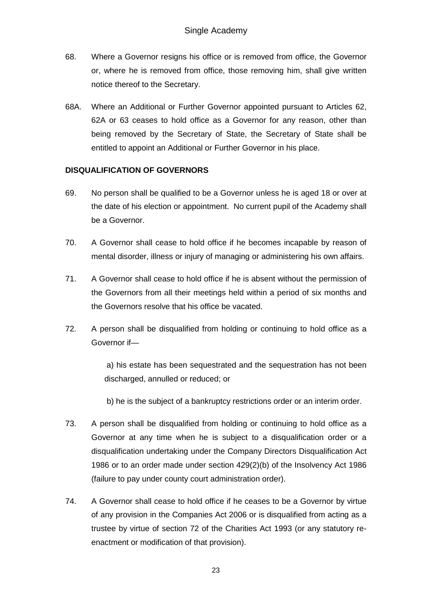- 68. Where a Governor resigns his office or is removed from office, the Governor or, where he is removed from office, those removing him, shall give written notice thereof to the Secretary.
- 68A. Where an Additional or Further Governor appointed pursuant to Articles 62, 62A or 63 ceases to hold office as a Governor for any reason, other than being removed by the Secretary of State, the Secretary of State shall be entitled to appoint an Additional or Further Governor in his place.

### **DISQUALIFICATION OF GOVERNORS**

- 69. No person shall be qualified to be a Governor unless he is aged 18 or over at the date of his election or appointment. No current pupil of the Academy shall be a Governor.
- 70. A Governor shall cease to hold office if he becomes incapable by reason of mental disorder, illness or injury of managing or administering his own affairs.
- 71. A Governor shall cease to hold office if he is absent without the permission of the Governors from all their meetings held within a period of six months and the Governors resolve that his office be vacated.
- 72. A person shall be disqualified from holding or continuing to hold office as a Governor if—

 a) his estate has been sequestrated and the sequestration has not been discharged, annulled or reduced; or

b) he is the subject of a bankruptcy restrictions order or an interim order.

- 73. A person shall be disqualified from holding or continuing to hold office as a Governor at any time when he is subject to a disqualification order or a disqualification undertaking under the Company Directors Disqualification Act 1986 or to an order made under section 429(2)(b) of the Insolvency Act 1986 (failure to pay under county court administration order).
- 74. A Governor shall cease to hold office if he ceases to be a Governor by virtue of any provision in the Companies Act 2006 or is disqualified from acting as a trustee by virtue of section 72 of the Charities Act 1993 (or any statutory re enactment or modification of that provision).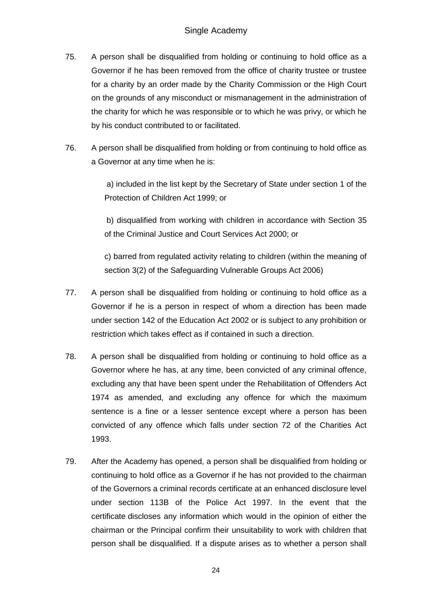- 75. A person shall be disqualified from holding or continuing to hold office as a Governor if he has been removed from the office of charity trustee or trustee for a charity by an order made by the Charity Commission or the High Court on the grounds of any misconduct or mismanagement in the administration of the charity for which he was responsible or to which he was privy, or which he by his conduct contributed to or facilitated.
- 76. A person shall be disqualified from holding or from continuing to hold office as a Governor at any time when he is:

 a) included in the list kept by the Secretary of State under section 1 of the Protection of Children Act 1999; or

 b) disqualified from working with children in accordance with Section 35 of the Criminal Justice and Court Services Act 2000; or

c) barred from regulated activity relating to children (within the meaning of section 3(2) of the Safeguarding Vulnerable Groups Act 2006)

- 77. A person shall be disqualified from holding or continuing to hold office as a Governor if he is a person in respect of whom a direction has been made under section 142 of the Education Act 2002 or is subject to any prohibition or restriction which takes effect as if contained in such a direction.
- 78. A person shall be disqualified from holding or continuing to hold office as a Governor where he has, at any time, been convicted of any criminal offence, excluding any that have been spent under the Rehabilitation of Offenders Act 1974 as amended, and excluding any offence for which the maximum sentence is a fine or a lesser sentence except where a person has been convicted of any offence which falls under section 72 of the Charities Act 1993.
- 79. After the Academy has opened, a person shall be disqualified from holding or continuing to hold office as a Governor if he has not provided to the chairman of the Governors a criminal records certificate at an enhanced disclosure level under section 113B of the Police Act 1997. In the event that the certificate discloses any information which would in the opinion of either the chairman or the Principal confirm their unsuitability to work with children that person shall be disqualified. If a dispute arises as to whether a person shall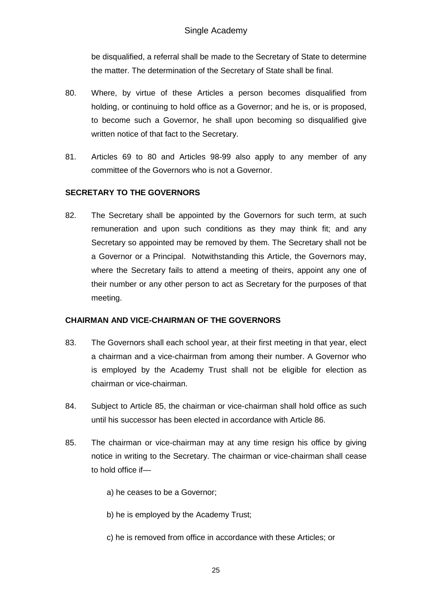be disqualified, a referral shall be made to the Secretary of State to determine the matter. The determination of the Secretary of State shall be final.

- 80. Where, by virtue of these Articles a person becomes disqualified from holding, or continuing to hold office as a Governor; and he is, or is proposed, to become such a Governor, he shall upon becoming so disqualified give written notice of that fact to the Secretary.
- 81. Articles 69 to 80 and Articles 98-99 also apply to any member of any committee of the Governors who is not a Governor.

# **SECRETARY TO THE GOVERNORS**

82. The Secretary shall be appointed by the Governors for such term, at such remuneration and upon such conditions as they may think fit; and any Secretary so appointed may be removed by them. The Secretary shall not be a Governor or a Principal. Notwithstanding this Article, the Governors may, where the Secretary fails to attend a meeting of theirs, appoint any one of their number or any other person to act as Secretary for the purposes of that meeting.

# **CHAIRMAN AND VICE-CHAIRMAN OF THE GOVERNORS**

- 83. The Governors shall each school year, at their first meeting in that year, elect a chairman and a vice-chairman from among their number. A Governor who is employed by the Academy Trust shall not be eligible for election as chairman or vice-chairman.
- 84. Subject to Article 85, the chairman or vice-chairman shall hold office as such until his successor has been elected in accordance with Article 86.
- 85. The chairman or vice-chairman may at any time resign his office by giving notice in writing to the Secretary. The chairman or vice-chairman shall cease to hold office if
	- a) he ceases to be a Governor;
	- b) he is employed by the Academy Trust;
	- c) he is removed from office in accordance with these Articles; or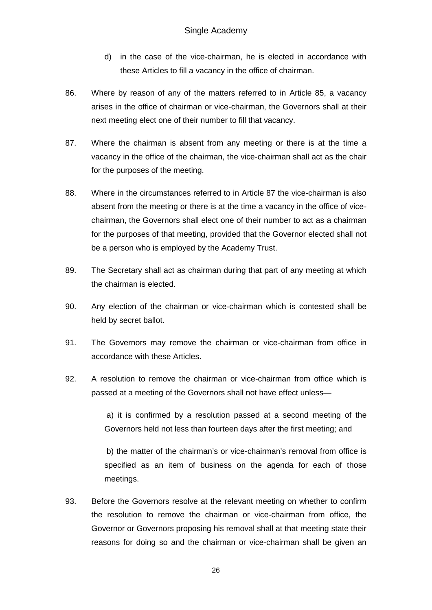- d) in the case of the vice-chairman, he is elected in accordance with these Articles to fill a vacancy in the office of chairman.
- 86. Where by reason of any of the matters referred to in Article 85, a vacancy arises in the office of chairman or vice-chairman, the Governors shall at their next meeting elect one of their number to fill that vacancy.
- 87. Where the chairman is absent from any meeting or there is at the time a vacancy in the office of the chairman, the vice-chairman shall act as the chair for the purposes of the meeting.
- 88. Where in the circumstances referred to in Article 87 the vice-chairman is also absent from the meeting or there is at the time a vacancy in the office of vice chairman, the Governors shall elect one of their number to act as a chairman for the purposes of that meeting, provided that the Governor elected shall not be a person who is employed by the Academy Trust.
- 89. The Secretary shall act as chairman during that part of any meeting at which the chairman is elected.
- 90. Any election of the chairman or vice-chairman which is contested shall be held by secret ballot.
- 91. The Governors may remove the chairman or vice-chairman from office in accordance with these Articles.
- 92. A resolution to remove the chairman or vice-chairman from office which is passed at a meeting of the Governors shall not have effect unless—

 a) it is confirmed by a resolution passed at a second meeting of the Governors held not less than fourteen days after the first meeting; and

 b) the matter of the chairman's or vice-chairman's removal from office is specified as an item of business on the agenda for each of those meetings.

93. Before the Governors resolve at the relevant meeting on whether to confirm the resolution to remove the chairman or vice-chairman from office, the Governor or Governors proposing his removal shall at that meeting state their reasons for doing so and the chairman or vice-chairman shall be given an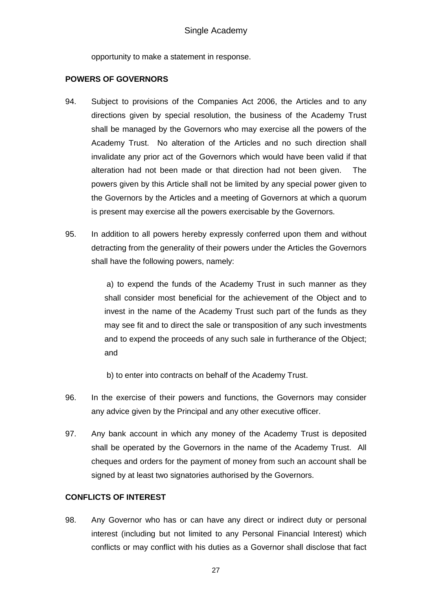opportunity to make a statement in response.

### **POWERS OF GOVERNORS**

- 94. Subject to provisions of the Companies Act 2006, the Articles and to any directions given by special resolution, the business of the Academy Trust shall be managed by the Governors who may exercise all the powers of the Academy Trust. No alteration of the Articles and no such direction shall invalidate any prior act of the Governors which would have been valid if that alteration had not been made or that direction had not been given. The powers given by this Article shall not be limited by any special power given to the Governors by the Articles and a meeting of Governors at which a quorum is present may exercise all the powers exercisable by the Governors.
- 95. In addition to all powers hereby expressly conferred upon them and without detracting from the generality of their powers under the Articles the Governors shall have the following powers, namely:

 a) to expend the funds of the Academy Trust in such manner as they shall consider most beneficial for the achievement of the Object and to invest in the name of the Academy Trust such part of the funds as they may see fit and to direct the sale or transposition of any such investments and to expend the proceeds of any such sale in furtherance of the Object; and

b) to enter into contracts on behalf of the Academy Trust.

- 96. In the exercise of their powers and functions, the Governors may consider any advice given by the Principal and any other executive officer.
- 97. Any bank account in which any money of the Academy Trust is deposited shall be operated by the Governors in the name of the Academy Trust. All cheques and orders for the payment of money from such an account shall be signed by at least two signatories authorised by the Governors.

# **CONFLICTS OF INTEREST**

98. Any Governor who has or can have any direct or indirect duty or personal interest (including but not limited to any Personal Financial Interest) which conflicts or may conflict with his duties as a Governor shall disclose that fact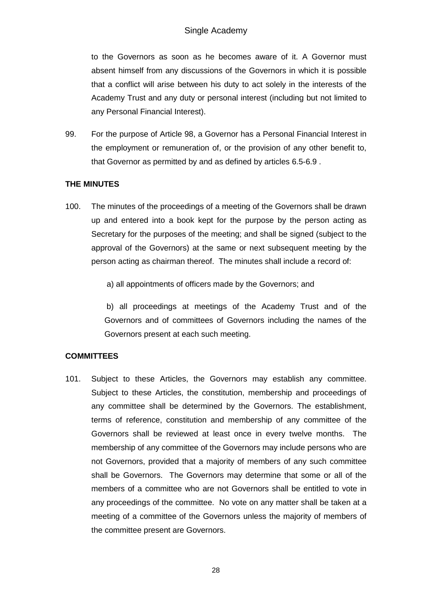to the Governors as soon as he becomes aware of it. A Governor must absent himself from any discussions of the Governors in which it is possible that a conflict will arise between his duty to act solely in the interests of the Academy Trust and any duty or personal interest (including but not limited to any Personal Financial Interest).

99. For the purpose of Article 98, a Governor has a Personal Financial Interest in the employment or remuneration of, or the provision of any other benefit to, that Governor as permitted by and as defined by articles 6.5-6.9 .

# **THE MINUTES**

100. The minutes of the proceedings of a meeting of the Governors shall be drawn up and entered into a book kept for the purpose by the person acting as Secretary for the purposes of the meeting; and shall be signed (subject to the approval of the Governors) at the same or next subsequent meeting by the person acting as chairman thereof. The minutes shall include a record of:

a) all appointments of officers made by the Governors; and

 b) all proceedings at meetings of the Academy Trust and of the Governors and of committees of Governors including the names of the Governors present at each such meeting.

# **COMMITTEES**

101. Subject to these Articles, the Governors may establish any committee. Subject to these Articles, the constitution, membership and proceedings of any committee shall be determined by the Governors. The establishment, terms of reference, constitution and membership of any committee of the Governors shall be reviewed at least once in every twelve months. The membership of any committee of the Governors may include persons who are not Governors, provided that a majority of members of any such committee shall be Governors. The Governors may determine that some or all of the members of a committee who are not Governors shall be entitled to vote in any proceedings of the committee. No vote on any matter shall be taken at a meeting of a committee of the Governors unless the majority of members of the committee present are Governors.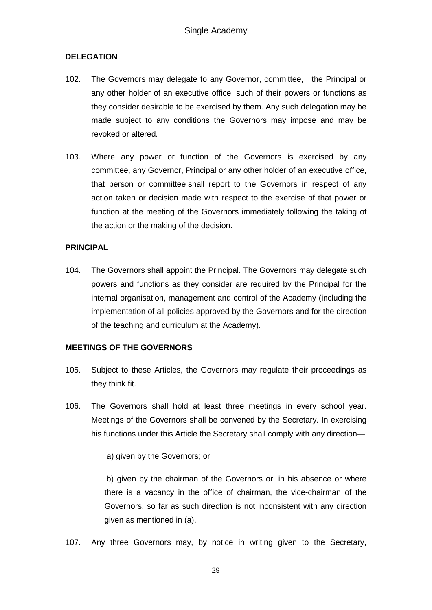### **DELEGATION**

- 102. The Governors may delegate to any Governor, committee, the Principal or any other holder of an executive office, such of their powers or functions as they consider desirable to be exercised by them. Any such delegation may be made subject to any conditions the Governors may impose and may be revoked or altered.
- 103. Where any power or function of the Governors is exercised by any committee, any Governor, Principal or any other holder of an executive office, that person or committee shall report to the Governors in respect of any action taken or decision made with respect to the exercise of that power or function at the meeting of the Governors immediately following the taking of the action or the making of the decision.

### **PRINCIPAL**

104. The Governors shall appoint the Principal. The Governors may delegate such powers and functions as they consider are required by the Principal for the internal organisation, management and control of the Academy (including the implementation of all policies approved by the Governors and for the direction of the teaching and curriculum at the Academy).

### **MEETINGS OF THE GOVERNORS**

- 105. Subject to these Articles, the Governors may regulate their proceedings as they think fit.
- 106. The Governors shall hold at least three meetings in every school year. Meetings of the Governors shall be convened by the Secretary. In exercising his functions under this Article the Secretary shall comply with any direction—

a) given by the Governors; or

 b) given by the chairman of the Governors or, in his absence or where there is a vacancy in the office of chairman, the vice-chairman of the Governors, so far as such direction is not inconsistent with any direction given as mentioned in (a).

107. Any three Governors may, by notice in writing given to the Secretary,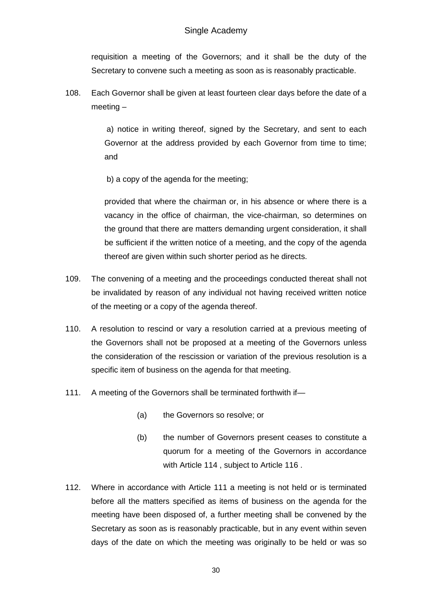requisition a meeting of the Governors; and it shall be the duty of the Secretary to convene such a meeting as soon as is reasonably practicable.

108. Each Governor shall be given at least fourteen clear days before the date of a meeting –

> a) notice in writing thereof, signed by the Secretary, and sent to each Governor at the address provided by each Governor from time to time; and

b) a copy of the agenda for the meeting;

provided that where the chairman or, in his absence or where there is a vacancy in the office of chairman, the vice-chairman, so determines on the ground that there are matters demanding urgent consideration, it shall be sufficient if the written notice of a meeting, and the copy of the agenda thereof are given within such shorter period as he directs.

- 109. The convening of a meeting and the proceedings conducted thereat shall not be invalidated by reason of any individual not having received written notice of the meeting or a copy of the agenda thereof.
- 110. A resolution to rescind or vary a resolution carried at a previous meeting of the Governors shall not be proposed at a meeting of the Governors unless the consideration of the rescission or variation of the previous resolution is a specific item of business on the agenda for that meeting.
- 111. A meeting of the Governors shall be terminated forthwith if-
	- (a) the Governors so resolve; or
	- (b) the number of Governors present ceases to constitute a quorum for a meeting of the Governors in accordance with Article 114, subject to Article 116.
- 112. Where in accordance with Article 111 a meeting is not held or is terminated before all the matters specified as items of business on the agenda for the meeting have been disposed of, a further meeting shall be convened by the Secretary as soon as is reasonably practicable, but in any event within seven days of the date on which the meeting was originally to be held or was so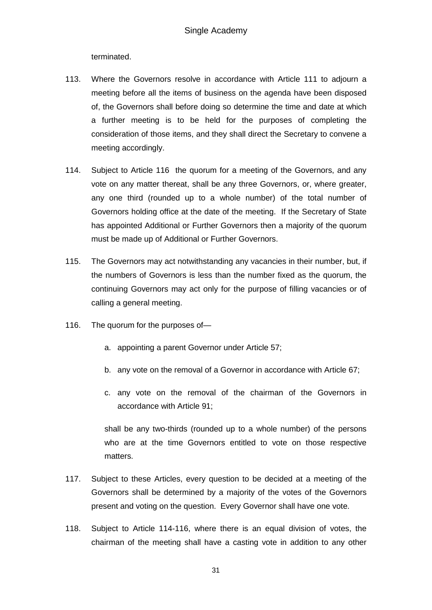terminated.

- 113. Where the Governors resolve in accordance with Article 111 to adjourn a meeting before all the items of business on the agenda have been disposed of, the Governors shall before doing so determine the time and date at which a further meeting is to be held for the purposes of completing the consideration of those items, and they shall direct the Secretary to convene a meeting accordingly.
- 114. Subject to Article 116 the quorum for a meeting of the Governors, and any vote on any matter thereat, shall be any three Governors, or, where greater, any one third (rounded up to a whole number) of the total number of Governors holding office at the date of the meeting. If the Secretary of State has appointed Additional or Further Governors then a majority of the quorum must be made up of Additional or Further Governors.
- 115. The Governors may act notwithstanding any vacancies in their number, but, if the numbers of Governors is less than the number fixed as the quorum, the continuing Governors may act only for the purpose of filling vacancies or of calling a general meeting.
- 116. The quorum for the purposes of
	- a. appointing a parent Governor under Article 57;
	- b. any vote on the removal of a Governor in accordance with Article 67;
	- c. any vote on the removal of the chairman of the Governors in accordance with Article 91;

shall be any two-thirds (rounded up to a whole number) of the persons who are at the time Governors entitled to vote on those respective matters.

- 117. Subject to these Articles, every question to be decided at a meeting of the Governors shall be determined by a majority of the votes of the Governors present and voting on the question. Every Governor shall have one vote.
- 118. Subject to Article 114-116, where there is an equal division of votes, the chairman of the meeting shall have a casting vote in addition to any other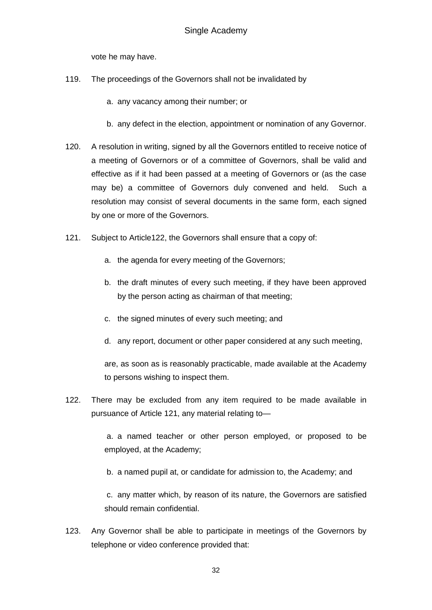vote he may have.

- 119. The proceedings of the Governors shall not be invalidated by
	- a. any vacancy among their number; or
	- b. any defect in the election, appointment or nomination of any Governor.
- 120. A resolution in writing, signed by all the Governors entitled to receive notice of a meeting of Governors or of a committee of Governors, shall be valid and effective as if it had been passed at a meeting of Governors or (as the case may be) a committee of Governors duly convened and held. Such a resolution may consist of several documents in the same form, each signed by one or more of the Governors.
- 121. Subject to Article122, the Governors shall ensure that a copy of:
	- a. the agenda for every meeting of the Governors;
	- b. the draft minutes of every such meeting, if they have been approved by the person acting as chairman of that meeting;
	- c. the signed minutes of every such meeting; and
	- d. any report, document or other paper considered at any such meeting,

are, as soon as is reasonably practicable, made available at the Academy to persons wishing to inspect them.

122. There may be excluded from any item required to be made available in pursuance of Article 121, any material relating to—

> a. a named teacher or other person employed, or proposed to be employed, at the Academy;

b. a named pupil at, or candidate for admission to, the Academy; and

 c. any matter which, by reason of its nature, the Governors are satisfied should remain confidential.

123. Any Governor shall be able to participate in meetings of the Governors by telephone or video conference provided that: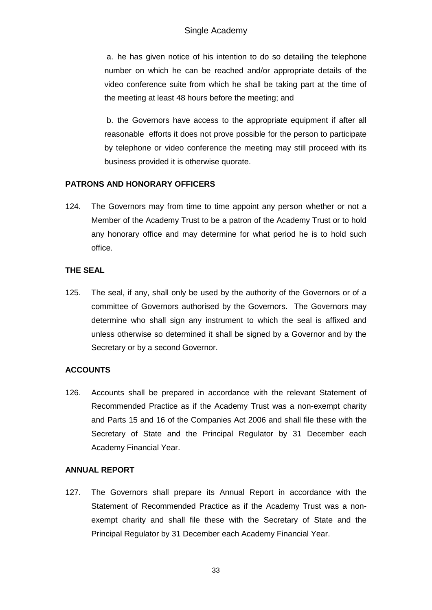a. he has given notice of his intention to do so detailing the telephone number on which he can be reached and/or appropriate details of the video conference suite from which he shall be taking part at the time of the meeting at least 48 hours before the meeting; and

 b. the Governors have access to the appropriate equipment if after all reasonable efforts it does not prove possible for the person to participate by telephone or video conference the meeting may still proceed with its business provided it is otherwise quorate.

# **PATRONS AND HONORARY OFFICERS**

124. The Governors may from time to time appoint any person whether or not a Member of the Academy Trust to be a patron of the Academy Trust or to hold any honorary office and may determine for what period he is to hold such office.

### **THE SEAL**

125. The seal, if any, shall only be used by the authority of the Governors or of a committee of Governors authorised by the Governors. The Governors may determine who shall sign any instrument to which the seal is affixed and unless otherwise so determined it shall be signed by a Governor and by the Secretary or by a second Governor.

# **ACCOUNTS**

126. Accounts shall be prepared in accordance with the relevant Statement of Recommended Practice as if the Academy Trust was a non-exempt charity and Parts 15 and 16 of the Companies Act 2006 and shall file these with the Secretary of State and the Principal Regulator by 31 December each Academy Financial Year.

# **ANNUAL REPORT**

127. The Governors shall prepare its Annual Report in accordance with the Statement of Recommended Practice as if the Academy Trust was a non exempt charity and shall file these with the Secretary of State and the Principal Regulator by 31 December each Academy Financial Year.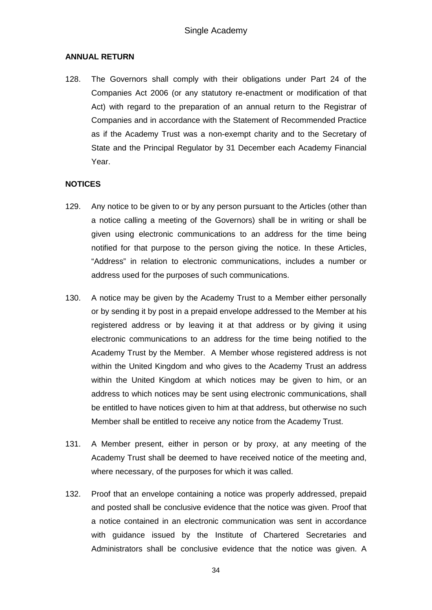### **ANNUAL RETURN**

128. The Governors shall comply with their obligations under Part 24 of the Companies Act 2006 (or any statutory re-enactment or modification of that Act) with regard to the preparation of an annual return to the Registrar of Companies and in accordance with the Statement of Recommended Practice as if the Academy Trust was a non-exempt charity and to the Secretary of State and the Principal Regulator by 31 December each Academy Financial Year.

### **NOTICES**

- 129. Any notice to be given to or by any person pursuant to the Articles (other than a notice calling a meeting of the Governors) shall be in writing or shall be given using electronic communications to an address for the time being notified for that purpose to the person giving the notice. In these Articles, "Address" in relation to electronic communications, includes a number or address used for the purposes of such communications.
- 130. A notice may be given by the Academy Trust to a Member either personally or by sending it by post in a prepaid envelope addressed to the Member at his registered address or by leaving it at that address or by giving it using electronic communications to an address for the time being notified to the Academy Trust by the Member. A Member whose registered address is not within the United Kingdom and who gives to the Academy Trust an address within the United Kingdom at which notices may be given to him, or an address to which notices may be sent using electronic communications, shall be entitled to have notices given to him at that address, but otherwise no such Member shall be entitled to receive any notice from the Academy Trust.
- 131. A Member present, either in person or by proxy, at any meeting of the Academy Trust shall be deemed to have received notice of the meeting and, where necessary, of the purposes for which it was called.
- 132. Proof that an envelope containing a notice was properly addressed, prepaid and posted shall be conclusive evidence that the notice was given. Proof that a notice contained in an electronic communication was sent in accordance with guidance issued by the Institute of Chartered Secretaries and Administrators shall be conclusive evidence that the notice was given. A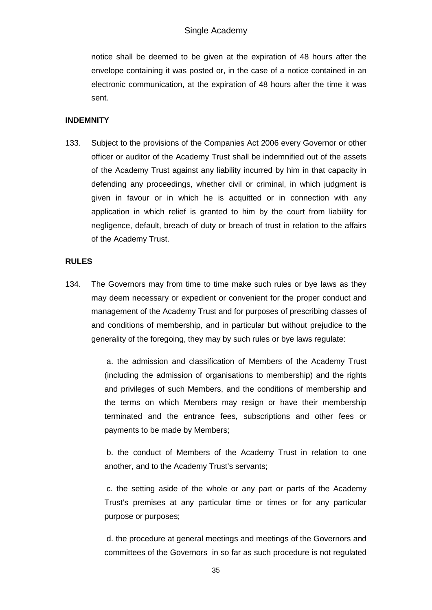notice shall be deemed to be given at the expiration of 48 hours after the envelope containing it was posted or, in the case of a notice contained in an electronic communication, at the expiration of 48 hours after the time it was sent.

### **INDEMNITY**

133. Subject to the provisions of the Companies Act 2006 every Governor or other officer or auditor of the Academy Trust shall be indemnified out of the assets of the Academy Trust against any liability incurred by him in that capacity in defending any proceedings, whether civil or criminal, in which judgment is given in favour or in which he is acquitted or in connection with any application in which relief is granted to him by the court from liability for negligence, default, breach of duty or breach of trust in relation to the affairs of the Academy Trust.

### **RULES**

134. The Governors may from time to time make such rules or bye laws as they may deem necessary or expedient or convenient for the proper conduct and management of the Academy Trust and for purposes of prescribing classes of and conditions of membership, and in particular but without prejudice to the generality of the foregoing, they may by such rules or bye laws regulate:

> a. the admission and classification of Members of the Academy Trust (including the admission of organisations to membership) and the rights and privileges of such Members, and the conditions of membership and the terms on which Members may resign or have their membership terminated and the entrance fees, subscriptions and other fees or payments to be made by Members;

> b. the conduct of Members of the Academy Trust in relation to one another, and to the Academy Trust's servants;

> c. the setting aside of the whole or any part or parts of the Academy Trust's premises at any particular time or times or for any particular purpose or purposes;

> d. the procedure at general meetings and meetings of the Governors and committees of the Governors in so far as such procedure is not regulated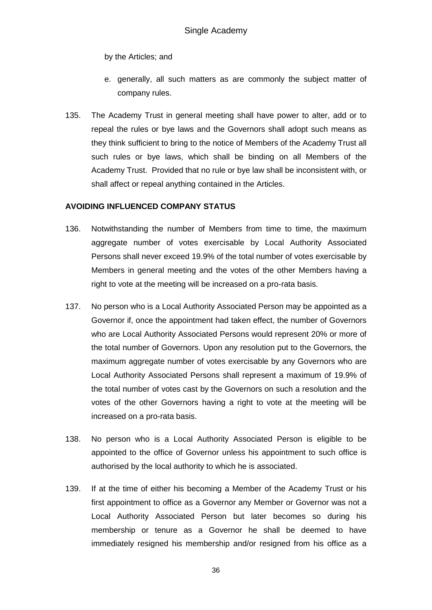by the Articles; and

- e. generally, all such matters as are commonly the subject matter of company rules.
- 135. The Academy Trust in general meeting shall have power to alter, add or to repeal the rules or bye laws and the Governors shall adopt such means as they think sufficient to bring to the notice of Members of the Academy Trust all such rules or bye laws, which shall be binding on all Members of the Academy Trust. Provided that no rule or bye law shall be inconsistent with, or shall affect or repeal anything contained in the Articles.

### **AVOIDING INFLUENCED COMPANY STATUS**

- 136. Notwithstanding the number of Members from time to time, the maximum aggregate number of votes exercisable by Local Authority Associated Persons shall never exceed 19.9% of the total number of votes exercisable by Members in general meeting and the votes of the other Members having a right to vote at the meeting will be increased on a pro-rata basis.
- 137. No person who is a Local Authority Associated Person may be appointed as a Governor if, once the appointment had taken effect, the number of Governors who are Local Authority Associated Persons would represent 20% or more of the total number of Governors. Upon any resolution put to the Governors, the maximum aggregate number of votes exercisable by any Governors who are Local Authority Associated Persons shall represent a maximum of 19.9% of the total number of votes cast by the Governors on such a resolution and the votes of the other Governors having a right to vote at the meeting will be increased on a pro-rata basis.
- 138. No person who is a Local Authority Associated Person is eligible to be appointed to the office of Governor unless his appointment to such office is authorised by the local authority to which he is associated.
- 139. If at the time of either his becoming a Member of the Academy Trust or his first appointment to office as a Governor any Member or Governor was not a Local Authority Associated Person but later becomes so during his membership or tenure as a Governor he shall be deemed to have immediately resigned his membership and/or resigned from his office as a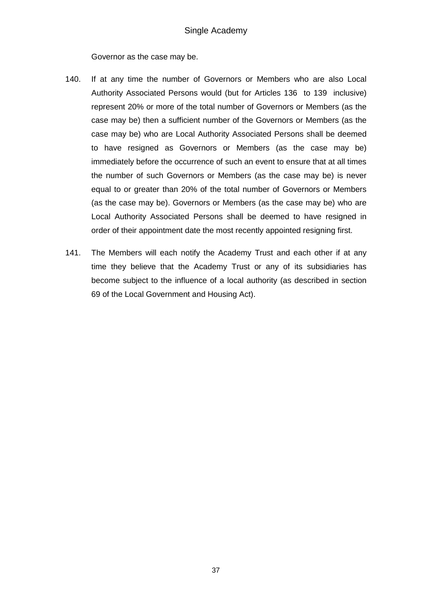Governor as the case may be.

- 140. If at any time the number of Governors or Members who are also Local Authority Associated Persons would (but for Articles 136 to 139 inclusive) represent 20% or more of the total number of Governors or Members (as the case may be) then a sufficient number of the Governors or Members (as the case may be) who are Local Authority Associated Persons shall be deemed to have resigned as Governors or Members (as the case may be) immediately before the occurrence of such an event to ensure that at all times the number of such Governors or Members (as the case may be) is never equal to or greater than 20% of the total number of Governors or Members (as the case may be). Governors or Members (as the case may be) who are Local Authority Associated Persons shall be deemed to have resigned in order of their appointment date the most recently appointed resigning first.
- 141. The Members will each notify the Academy Trust and each other if at any time they believe that the Academy Trust or any of its subsidiaries has become subject to the influence of a local authority (as described in section 69 of the Local Government and Housing Act).